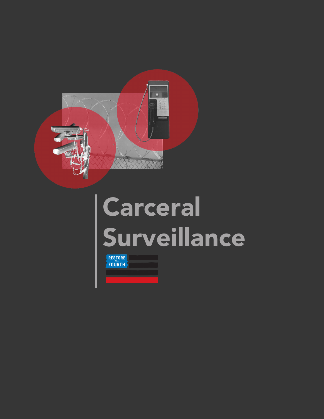

# **Carceral** Surveillance

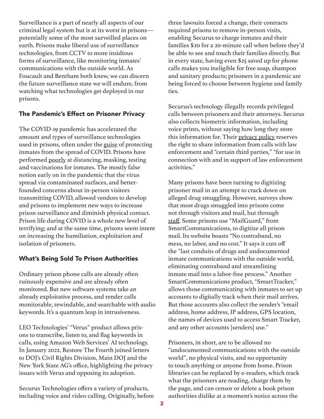Surveillance is a part of nearly all aspects of our criminal legal system but is at its worst in prisons potentially some of the most surveilled places on earth. Prisons make liberal use of surveillance technologies, from CCTV to more insidious forms of surveillance, like monitoring inmates' communications with the outside world. As Foucault and Bentham both knew, we can discern the future surveillance state we will endure, from watching what technologies get deployed in our prisons.

### The Pandemic's Effect on Prisoner Privacy

The COVID-19 pandemic has accelerated the amount and types of surveillance technologies used in prisons, often under the [guise](https://www.themarshallproject.org/2020/03/17/tracking-prisons-response-to-coronavirus) of protecting inmates from the spread of COVID. Prisons have performed [poorly](https://www.prisonpolicy.org/reports/failing_grades.html) at distancing, masking, testing and vaccinations for inmates. The mostly false notion early on in the pandemic that the virus spread via contaminated surfaces, and betterfounded concerns about in-person visitors transmitting COVID, allowed vendors to develop and prisons to implement new ways to increase prison surveillance and diminish physical contact. Prison life during COVID is a whole new level of terrifying; and at the same time, prisons seem intent on increasing the humiliation, exploitation and isolation of prisoners.

## What's Being Sold To Prison Authorities

Ordinary prison phone calls are already often ruinously expensive and are already often monitored. But new software systems take an already exploitative process, and render calls monitorable, rewindable, and searchable with audio keywords. It's a quantum leap in intrusiveness.

LEO Technologies' "Verus" product allows prisons to transcribe, listen to, and flag keywords in calls, using Amazon Web Services' AI technology. In January 2022, Restore The Fourth joined letters to DOJ's Civil Rights Division, Main DOJ and the New York State AG's office, highlighting the privacy issues with Verus and opposing its adoption.

Securus Technologies offers a variety of products, including voice and video calling. Originally, before three lawsuits forced a change, their contracts required prisons to remove in-person visits, enabling Securus to charge inmates and their families \$20 for a 20-minute call when before they'd be able to see and touch their families directly. But in every state, having even \$25 saved up for phone calls makes you ineligible for free soap, shampoo and sanitary products; prisoners in a pandemic are being forced to choose between hygiene and family ties.

Securus's technology illegally records privileged calls between prisoners and their attorneys. Securus also collects biometric information, including voice prints, without saying how long they store this information for. Their [privacy policy](https://www.aventiv.com/privacy/) reserves the right to share information from calls with law enforcement and "certain third parties," "for use in connection with and in support of law enforcement activities."

Many prisons have been turning to digitizing prisoner mail in an attempt to crack down on alleged drug smuggling. However, surveys show that most drugs smuggled into prisons come not through visitors and mail, but through [staff](https://www.prisonpolicy.org/blog/2018/12/06/jail-contraband/). Some prisons use "MailGuard," from SmartCommunications, to digitize all prison mail. Its website boasts "No contraband, no mess, no labor, and no cost." It says it cuts off the "last conduits of drugs and undocumented inmate communications with the outside world, eliminating contraband and streamlining inmate mail into a labor-free process." Another SmartCommunications product, "SmartTracker," allows those communicating with inmates to set up accounts to digitally track when their mail arrives. But those accounts also collect the sender's "email address, home address, IP address, GPS location, the names of devices used to access Smart Tracker, and any other accounts [senders] use."

Prisoners, in short, are to be allowed no "undocumented communications with the outside world", no physical visits, and no opportunity to touch anything or anyone from home. Prison libraries can be replaced by e-readers, which track what the prisoners are reading, charge them by the page, and can censor or delete a book prison authorities dislike at a moment's notice across the